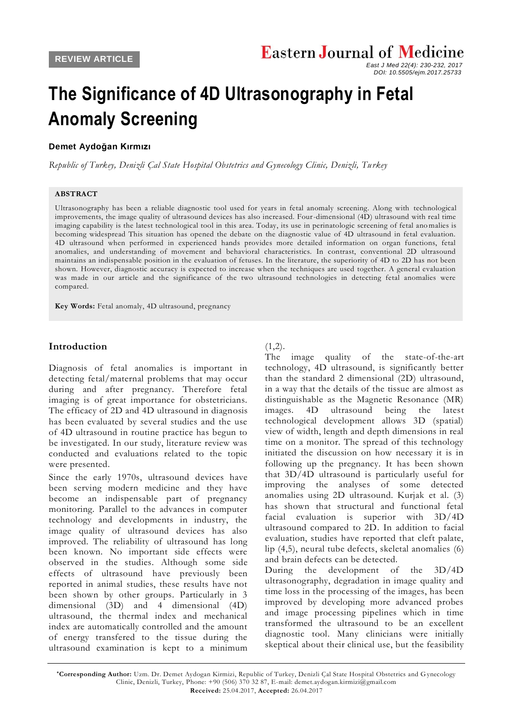*East J Med 22(4): 230-232, 2017 DOI: 10.5505/ejm.2017.25733*

# **The Significance of 4D Ultrasonography in Fetal Anomaly Screening**

## **[Demet Aydoğan Kırmızı](javascript:sa()**

*Republic of Turkey, Denizli Çal State Hospital Obstetrics and Gynecology Clinic, Denizli, Tu rkey*

#### **ABSTRACT**

Ultrasonography has been a reliable diagnostic tool used for years in fetal anomaly screening. Along with technological improvements, the image quality of ultrasound devices has also increased. Four-dimensional (4D) ultrasound with real time imaging capability is the latest technological tool in this area. Today, its use in perinatologic screening of fetal ano malies is becoming widespread This situation has opened the debate on the diagnostic value of 4D ultrasound in fetal evaluation. 4D ultrasound when performed in experienced hands provides more detailed information on organ functions, fetal anomalies, and understanding of movement and behavioral characteristics. In contrast, conventional 2D ultrasound maintains an indispensable position in the evaluation of fetuses. In the literature, the superiority of 4D to 2D has not been shown. However, diagnostic accuracy is expected to increase when the techniques are used together. A general evaluation was made in our article and the significance of the two ultrasound technologies in detecting fetal anomalies were compared.

**Key Words:** Fetal anomaly, 4D ultrasound, pregnancy

## **Introduction**

Diagnosis of fetal anomalies is important in detecting fetal/maternal problems that may occur during and after pregnancy. Therefore fetal imaging is of great importance for obstetricians. The efficacy of 2D and 4D ultrasound in diagnosis has been evaluated by several studies and the use of 4D ultrasound in routine practice has begun to be investigated. In our study, literature review was conducted and evaluations related to the topic were presented.

Since the early 1970s, ultrasound devices have been serving modern medicine and they have become an indispensable part of pregnancy monitoring. Parallel to the advances in computer technology and developments in industry, the image quality of ultrasound devices has also improved. The reliability of ultrasound has long been known. No important side effects were observed in the studies. Although some side effects of ultrasound have previously been reported in animal studies, these results have not been shown by other groups. Particularly in 3 dimensional (3D) and 4 dimensional (4D) ultrasound, the thermal index and mechanical index are automatically controlled and the amount of energy transfered to the tissue during the ultrasound examination is kept to a minimum

#### $(1,2)$ .

The image quality of the state-of-the-art technology, 4D ultrasound, is significantly better than the standard 2 dimensional (2D) ultrasound, in a way that the details of the tissue are almost as distinguishable as the Magnetic Resonance (MR) images. 4D ultrasound being the latest technological development allows 3D (spatial) view of width, length and depth dimensions in real time on a monitor. The spread of this technology initiated the discussion on how necessary it is in following up the pregnancy. It has been shown that 3D/4D ultrasound is particularly useful for improving the analyses of some detected anomalies using 2D ultrasound. Kurjak et al. (3) has shown that structural and functional fetal facial evaluation is superior with 3D/4D ultrasound compared to 2D. In addition to facial evaluation, studies have reported that cleft palate, lip (4,5), neural tube defects, skeletal anomalies (6) and brain defects can be detected.

During the development of the 3D/4D ultrasonography, degradation in image quality and time loss in the processing of the images, has been improved by developing more advanced probes and image processing pipelines which in time transformed the ultrasound to be an excellent diagnostic tool. Many clinicians were initially skeptical about their clinical use, but the feasibility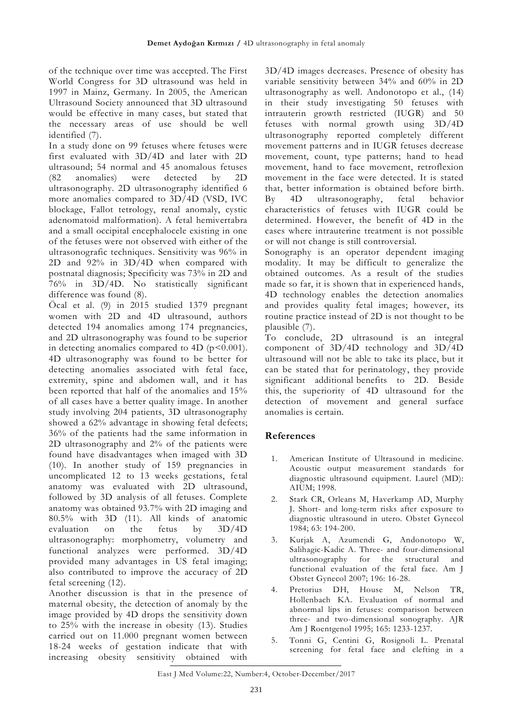of the technique over time was accepted. The First World Congress for 3D ultrasound was held in 1997 in Mainz, Germany. In 2005, the American Ultrasound Society announced that 3D ultrasound would be effective in many cases, but stated that the necessary areas of use should be well identified (7).

In a study done on 99 fetuses where fetuses were first evaluated with 3D/4D and later with 2D ultrasound; 54 normal and 45 anomalous fetuses (82 anomalies) were detected by 2D ultrasonography. 2D ultrasonography identified 6 more anomalies compared to 3D/4D (VSD, IVC blockage, Fallot tetrology, renal anomaly, cystic adenomatoid malformation). A fetal hemivertabra and a small occipital encephalocele existing in one of the fetuses were not observed with either of the ultrasonografic techniques. Sensitivity was 96% in 2D and 92% in 3D/4D when compared with postnatal diagnosis; Specificity was 73% in 2D and 76% in 3D/4D. No statistically significant difference was found (8).

Öcal et al. (9) in 2015 studied 1379 pregnant women with 2D and 4D ultrasound, authors detected 194 anomalies among 174 pregnancies, and 2D ultrasonography was found to be superior in detecting anomalies compared to 4D  $(p<0.001)$ . 4D ultrasonography was found to be better for detecting anomalies associated with fetal face, extremity, spine and abdomen wall, and it has been reported that half of the anomalies and 15% of all cases have a better quality image. In another study involving 204 patients, 3D ultrasonography showed a 62% advantage in showing fetal defects; 36% of the patients had the same information in 2D ultrasonography and 2% of the patients were found have disadvantages when imaged with 3D (10). In another study of 159 pregnancies in uncomplicated 12 to 13 weeks gestations, fetal anatomy was evaluated with 2D ultrasound, followed by 3D analysis of all fetuses. Complete anatomy was obtained 93.7% with 2D imaging and 80.5% with 3D (11). All kinds of anatomic evaluation on the fetus by 3D/4D ultrasonography: morphometry, volumetry and functional analyzes were performed. 3D/4D provided many advantages in US fetal imaging; also contributed to improve the accuracy of 2D fetal screening (12).

Another discussion is that in the presence of maternal obesity, the detection of anomaly by the image provided by 4D drops the sensitivity down to 25% with the increase in obesity (13). Studies carried out on 11.000 pregnant women between 18-24 weeks of gestation indicate that with increasing obesity sensitivity obtained with

3D/4D images decreases. Presence of obesity has variable sensitivity between 34% and 60% in 2D ultrasonography as well. Andonotopo et al., (14) in their study investigating 50 fetuses with intrauterin growth restricted (IUGR) and 50 fetuses with normal growth using 3D/4D ultrasonography reported completely different movement patterns and in IUGR fetuses decrease movement, count, type patterns; hand to head movement, hand to face movement, retroflexion movement in the face were detected. It is stated that, better information is obtained before birth. By 4D ultrasonography, fetal behavior characteristics of fetuses with IUGR could be determined. However, the benefit of 4D in the cases where intrauterine treatment is not possible or will not change is still controversial.

Sonography is an operator dependent imaging modality. It may be difficult to generalize the obtained outcomes. As a result of the studies made so far, it is shown that in experienced hands, 4D technology enables the detection anomalies and provides quality fetal images; however, its routine practice instead of 2D is not thought to be plausible (7).

To conclude, 2D ultrasound is an integral component of 3D/4D technology and 3D/4D ultrasound will not be able to take its place, but it can be stated that for perinatology, they provide significant additional benefits to 2D. Beside this, the superiority of 4D ultrasound for the detection of movement and general surface anomalies is certain.

## **References**

- 1. American Institute of Ultrasound in medicine. Acoustic output measurement standards for diagnostic ultrasound equipment. Laurel (MD): AIUM; 1998.
- 2. Stark CR, Orleans M, Haverkamp AD, Murphy J. Short- and long-term risks after exposure to diagnostic ultrasound in utero. Obstet Gynecol 1984; 63: 194-200.
- 3. Kurjak A, Azumendi G, Andonotopo W, Salihagic-Kadic A. Three- and four-dimensional ultrasonography for the structural and functional evaluation of the fetal face. Am J Obstet Gynecol 2007; 196: 16-28.
- 4. Pretorius DH, House M, Nelson TR, Hollenbach KA. Evaluation of normal and abnormal lips in fetuses: comparison between three- and two-dimensional sonography. AJR Am J Roentgenol 1995; 165: 1233-1237.
- 5. Tonni G, Centini G, Rosignoli L. Prenatal screening for fetal face and clefting in a

East J Med Volume:22, Number:4, October-December/2017